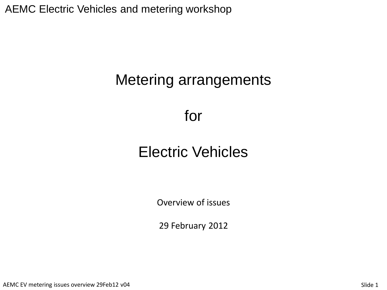AEMC Electric Vehicles and metering workshop

# Metering arrangements

# for

# Electric Vehicles

Overview of issues

29 February 2012

AEMC EV metering issues overview 29Feb12 v04 Slide 1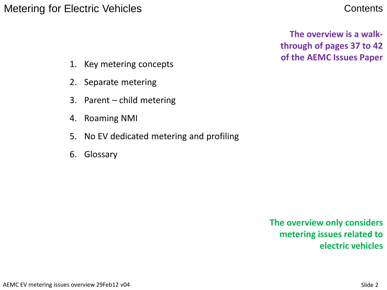#### Metering for Electric Vehicles **Contents** Contents

**The overview is a walkthrough of pages 37 to 42 of the AEMC Issues Paper** 

- 1. Key metering concepts
- 2. Separate metering
- 3. Parent child metering
- 4. Roaming NMI
- 5. No EV dedicated metering and profiling
- 6. Glossary

**The overview only considers metering issues related to electric vehicles**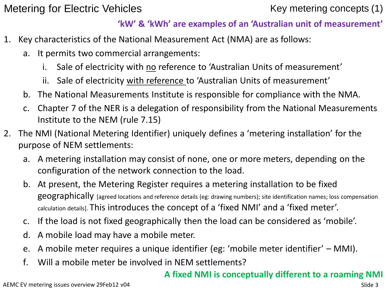Metering for Electric Vehicles Metering concepts (1)

#### **'kW' & 'kWh' are examples of an 'Australian unit of measurement'**

- 1. Key characteristics of the National Measurement Act (NMA) are as follows:
	- a. It permits two commercial arrangements:
		- i. Sale of electricity with no reference to 'Australian Units of measurement'
		- ii. Sale of electricity with reference to 'Australian Units of measurement'
	- b. The National Measurements Institute is responsible for compliance with the NMA.
	- c. Chapter 7 of the NER is a delegation of responsibility from the National Measurements Institute to the NEM (rule 7.15)
- 2. The NMI (National Metering Identifier) uniquely defines a 'metering installation' for the purpose of NEM settlements:
	- a. A metering installation may consist of none, one or more meters, depending on the configuration of the network connection to the load.
	- b. At present, the Metering Register requires a metering installation to be fixed geographically [agreed locations and reference details (eg: drawing numbers); site identification names; loss compensation calculation details]. This introduces the concept of a 'fixed NMI' and a 'fixed meter'.
	- c. If the load is not fixed geographically then the load can be considered as 'mobile'.
	- d. A mobile load may have a mobile meter.
	- e. A mobile meter requires a unique identifier (eg: 'mobile meter identifier' MMI).
	- f. Will a mobile meter be involved in NEM settlements?

#### **A fixed NMI is conceptually different to a roaming NMI**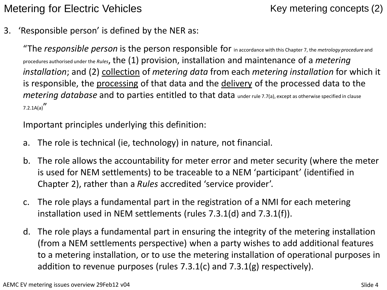Metering for Electric Vehicles Metering concepts (2)

3. 'Responsible person' is defined by the NER as:

"The *responsible person* is the person responsible for in accordance with this Chapter 7, the *metrology procedure* and procedures authorised under the *Rules*, the (1) provision, installation and maintenance of a *metering installation*; and (2) collection of *metering data* from each *metering installation* for which it is responsible, the processing of that data and the delivery of the processed data to the *metering database* and to parties entitled to that data under rule 7.7(a), except as otherwise specified in clause  $7.2.1A(a)$ 

Important principles underlying this definition:

- a. The role is technical (ie, technology) in nature, not financial.
- b. The role allows the accountability for meter error and meter security (where the meter is used for NEM settlements) to be traceable to a NEM 'participant' (identified in Chapter 2), rather than a *Rules* accredited 'service provider'.
- c. The role plays a fundamental part in the registration of a NMI for each metering installation used in NEM settlements (rules 7.3.1(d) and 7.3.1(f)).
- d. The role plays a fundamental part in ensuring the integrity of the metering installation (from a NEM settlements perspective) when a party wishes to add additional features to a metering installation, or to use the metering installation of operational purposes in addition to revenue purposes (rules 7.3.1(c) and 7.3.1(g) respectively).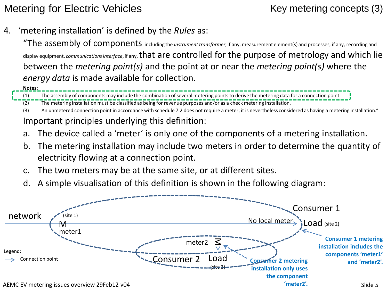### Metering for Electric Vehicles Metering concepts (3)

4. 'metering installation' is defined by the *Rules* as:

"The assembly of components including the *instrument transformer*, if any, measurement element(s) and processes, if any, recording and display equipment, *communications interface*, if any, that are controlled for the purpose of metrology and which lie between the *metering point(s)* and the point at or near the *metering point(s)* where the *energy data* is made available for collection.

**Notes:** 

(1) The assembly of components may include the combination of several metering points to derive the metering data for a connection point. (2) The metering installation must be classified as being for revenue purposes and/or as a check metering installation.

(3) An unmetered connection point in accordance with schedule 7.2 does not require a meter; it is nevertheless considered as having a metering installation." Important principles underlying this definition:

- a. The device called a 'meter' is only one of the components of a metering installation.
- b. The metering installation may include two meters in order to determine the quantity of electricity flowing at a connection point.
- c. The two meters may be at the same site, or at different sites.
- d. A simple visualisation of this definition is shown in the following diagram:

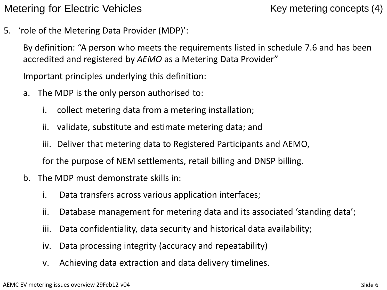Metering for Electric Vehicles Metering concepts (4)

5. 'role of the Metering Data Provider (MDP)':

By definition: "A person who meets the requirements listed in schedule 7.6 and has been accredited and registered by *AEMO* as a Metering Data Provider"

Important principles underlying this definition:

- a. The MDP is the only person authorised to:
	- i. collect metering data from a metering installation;
	- ii. validate, substitute and estimate metering data; and
	- iii. Deliver that metering data to Registered Participants and AEMO,

for the purpose of NEM settlements, retail billing and DNSP billing.

- b. The MDP must demonstrate skills in:
	- i. Data transfers across various application interfaces;
	- ii. Database management for metering data and its associated 'standing data';
	- iii. Data confidentiality, data security and historical data availability;
	- iv. Data processing integrity (accuracy and repeatability)
	- v. Achieving data extraction and data delivery timelines.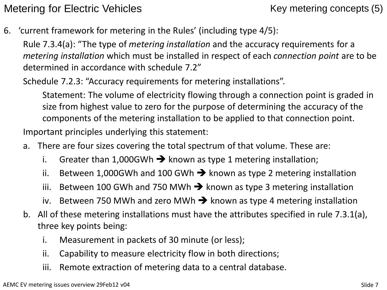Metering for Electric Vehicles Metering concepts (5)

6. 'current framework for metering in the Rules' (including type 4/5):

Rule 7.3.4(a): "The type of *metering installation* and the accuracy requirements for a *metering installation* which must be installed in respect of each *connection point* are to be determined in accordance with schedule 7.2"

Schedule 7.2.3: "Accuracy requirements for metering installations".

Statement: The volume of electricity flowing through a connection point is graded in size from highest value to zero for the purpose of determining the accuracy of the components of the metering installation to be applied to that connection point.

Important principles underlying this statement:

- a. There are four sizes covering the total spectrum of that volume. These are:
	- i. Greater than 1,000GWh  $\rightarrow$  known as type 1 metering installation;
	- ii. Between 1,000GWh and 100 GWh  $\rightarrow$  known as type 2 metering installation
	- iii. Between 100 GWh and 750 MWh  $\rightarrow$  known as type 3 metering installation
	- iv. Between 750 MWh and zero MWh  $\rightarrow$  known as type 4 metering installation
- b. All of these metering installations must have the attributes specified in rule 7.3.1(a), three key points being:
	- i. Measurement in packets of 30 minute (or less);
	- ii. Capability to measure electricity flow in both directions;
	- iii. Remote extraction of metering data to a central database.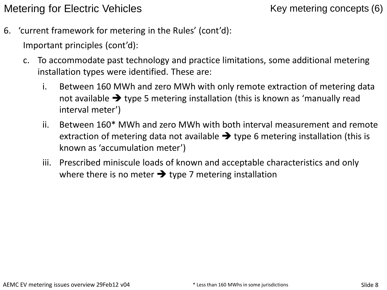Metering for Electric Vehicles Metering concepts (6)

6. 'current framework for metering in the Rules' (cont'd):

Important principles (cont'd):

- c. To accommodate past technology and practice limitations, some additional metering installation types were identified. These are:
	- i. Between 160 MWh and zero MWh with only remote extraction of metering data not available  $\rightarrow$  type 5 metering installation (this is known as 'manually read interval meter')
	- ii. Between 160\* MWh and zero MWh with both interval measurement and remote extraction of metering data not available  $\rightarrow$  type 6 metering installation (this is known as 'accumulation meter')
	- iii. Prescribed miniscule loads of known and acceptable characteristics and only where there is no meter  $\rightarrow$  type 7 metering installation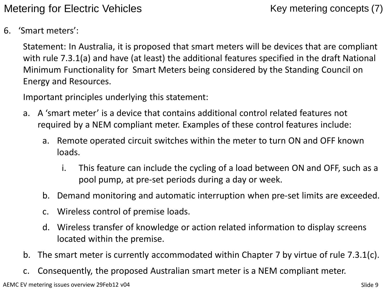Metering for Electric Vehicles Key metering concepts (7)

6. 'Smart meters':

Statement: In Australia, it is proposed that smart meters will be devices that are compliant with rule 7.3.1(a) and have (at least) the additional features specified in the draft National Minimum Functionality for Smart Meters being considered by the Standing Council on Energy and Resources.

Important principles underlying this statement:

- a. A 'smart meter' is a device that contains additional control related features not required by a NEM compliant meter. Examples of these control features include:
	- a. Remote operated circuit switches within the meter to turn ON and OFF known loads.
		- i. This feature can include the cycling of a load between ON and OFF, such as a pool pump, at pre-set periods during a day or week.
	- b. Demand monitoring and automatic interruption when pre-set limits are exceeded.
	- c. Wireless control of premise loads.
	- d. Wireless transfer of knowledge or action related information to display screens located within the premise.
- b. The smart meter is currently accommodated within Chapter 7 by virtue of rule 7.3.1(c).
- c. Consequently, the proposed Australian smart meter is a NEM compliant meter.

AEMC EV metering issues overview 29Feb12 v04 Slide 9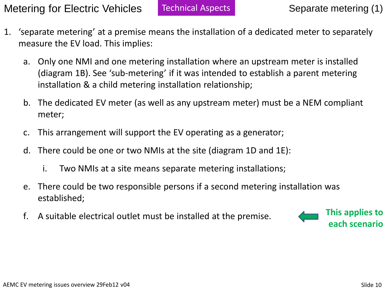Metering for Electric Vehicles Technical Aspects Separate metering (1)

- 1. 'separate metering' at a premise means the installation of a dedicated meter to separately measure the EV load. This implies:
	- a. Only one NMI and one metering installation where an upstream meter is installed (diagram 1B). See 'sub-metering' if it was intended to establish a parent metering installation & a child metering installation relationship;
	- b. The dedicated EV meter (as well as any upstream meter) must be a NEM compliant meter;
	- c. This arrangement will support the EV operating as a generator;
	- d. There could be one or two NMIs at the site (diagram 1D and 1E):
		- i. Two NMIs at a site means separate metering installations;
	- e. There could be two responsible persons if a second metering installation was established;
	- f. A suitable electrical outlet must be installed at the premise.

**This applies to each scenario**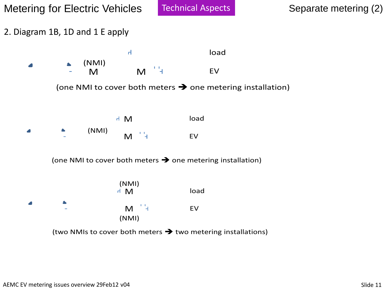2. Diagram 1B, 1D and 1 E apply

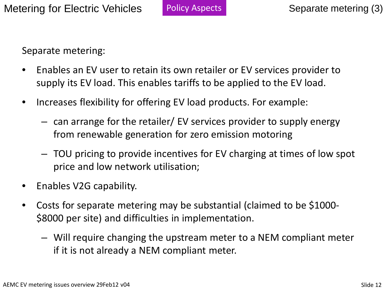Separate metering:

- Enables an EV user to retain its own retailer or EV services provider to supply its EV load. This enables tariffs to be applied to the EV load.
- Increases flexibility for offering EV load products. For example:
	- can arrange for the retailer/ EV services provider to supply energy from renewable generation for zero emission motoring
	- TOU pricing to provide incentives for EV charging at times of low spot price and low network utilisation;
- Enables V2G capability.
- Costs for separate metering may be substantial (claimed to be \$1000- \$8000 per site) and difficulties in implementation.
	- Will require changing the upstream meter to a NEM compliant meter if it is not already a NEM compliant meter.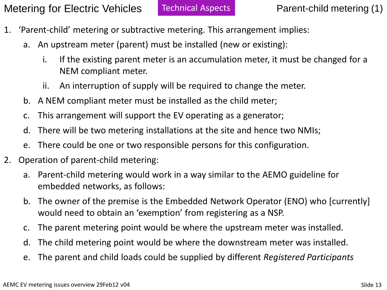- 1. 'Parent-child' metering or subtractive metering. This arrangement implies:
	- a. An upstream meter (parent) must be installed (new or existing):
		- i. If the existing parent meter is an accumulation meter, it must be changed for a NEM compliant meter.
		- ii. An interruption of supply will be required to change the meter.
	- b. A NEM compliant meter must be installed as the child meter;
	- c. This arrangement will support the EV operating as a generator;
	- d. There will be two metering installations at the site and hence two NMIs;
	- e. There could be one or two responsible persons for this configuration.
- 2. Operation of parent-child metering:
	- a. Parent-child metering would work in a way similar to the AEMO guideline for embedded networks, as follows:
	- b. The owner of the premise is the Embedded Network Operator (ENO) who [currently] would need to obtain an 'exemption' from registering as a NSP.
	- c. The parent metering point would be where the upstream meter was installed.
	- d. The child metering point would be where the downstream meter was installed.
	- e. The parent and child loads could be supplied by different *Registered Participants*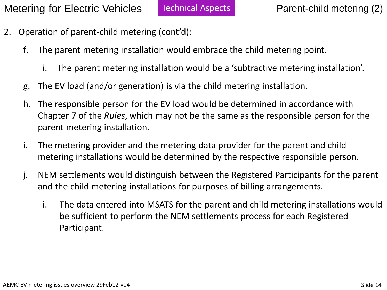- 2. Operation of parent-child metering (cont'd):
	- f. The parent metering installation would embrace the child metering point.
		- i. The parent metering installation would be a 'subtractive metering installation'.
	- g. The EV load (and/or generation) is via the child metering installation.
	- h. The responsible person for the EV load would be determined in accordance with Chapter 7 of the *Rules*, which may not be the same as the responsible person for the parent metering installation.
	- i. The metering provider and the metering data provider for the parent and child metering installations would be determined by the respective responsible person.
	- j. NEM settlements would distinguish between the Registered Participants for the parent and the child metering installations for purposes of billing arrangements.
		- i. The data entered into MSATS for the parent and child metering installations would be sufficient to perform the NEM settlements process for each Registered Participant.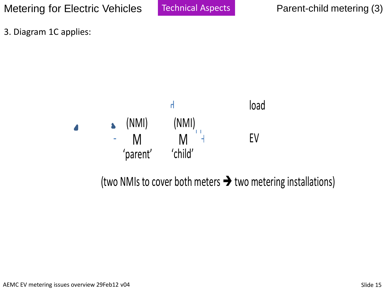Metering for Electric Vehicles Technical Aspects Parent-child metering (3)

Technical Aspects

3. Diagram 1C applies:



(two NMIs to cover both meters  $\rightarrow$  two metering installations)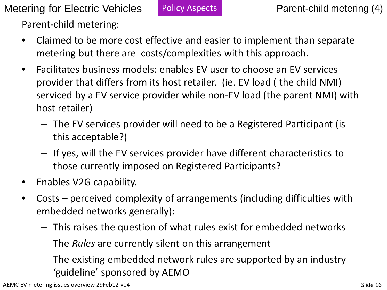Metering for Electric Vehicles Policy Aspects Parent-child metering (4) Parent-child metering:

- Claimed to be more cost effective and easier to implement than separate metering but there are costs/complexities with this approach.
- Facilitates business models: enables EV user to choose an EV services provider that differs from its host retailer. (ie. EV load ( the child NMI) serviced by a EV service provider while non-EV load (the parent NMI) with host retailer)
	- The EV services provider will need to be a Registered Participant (is this acceptable?)
	- If yes, will the EV services provider have different characteristics to those currently imposed on Registered Participants?
- Enables V2G capability.
- Costs perceived complexity of arrangements (including difficulties with embedded networks generally):
	- This raises the question of what rules exist for embedded networks
	- The *Rules* are currently silent on this arrangement
	- The existing embedded network rules are supported by an industry 'guideline' sponsored by AEMO

AEMC EV metering issues overview 29Feb12 v04 Slide 16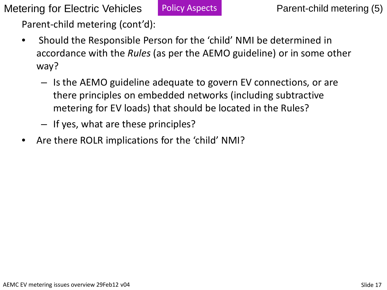Metering for Electric Vehicles Policy Aspects Parent-child metering (5)

Parent-child metering (cont'd):

- Should the Responsible Person for the 'child' NMI be determined in accordance with the *Rules* (as per the AEMO guideline) or in some other way?
	- Is the AEMO guideline adequate to govern EV connections, or are there principles on embedded networks (including subtractive metering for EV loads) that should be located in the Rules?
	- If yes, what are these principles?
- Are there ROLR implications for the 'child' NMI?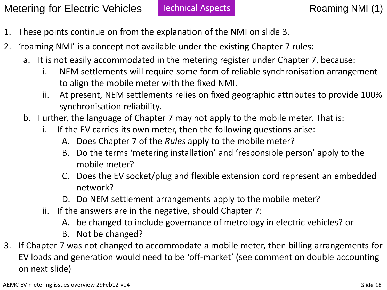- 1. These points continue on from the explanation of the NMI on slide 3.
- 2. 'roaming NMI' is a concept not available under the existing Chapter 7 rules:
	- a. It is not easily accommodated in the metering register under Chapter 7, because:
		- i. NEM settlements will require some form of reliable synchronisation arrangement to align the mobile meter with the fixed NMI.
		- ii. At present, NEM settlements relies on fixed geographic attributes to provide 100% synchronisation reliability.
	- b. Further, the language of Chapter 7 may not apply to the mobile meter. That is:
		- i. If the EV carries its own meter, then the following questions arise:
			- A. Does Chapter 7 of the *Rules* apply to the mobile meter?
			- B. Do the terms 'metering installation' and 'responsible person' apply to the mobile meter?
			- C. Does the EV socket/plug and flexible extension cord represent an embedded network?
			- D. Do NEM settlement arrangements apply to the mobile meter?
		- ii. If the answers are in the negative, should Chapter 7:
			- A. be changed to include governance of metrology in electric vehicles? or
			- B. Not be changed?
- 3. If Chapter 7 was not changed to accommodate a mobile meter, then billing arrangements for EV loads and generation would need to be 'off-market' (see comment on double accounting on next slide)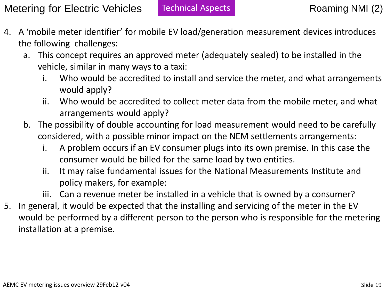- 4. A 'mobile meter identifier' for mobile EV load/generation measurement devices introduces the following challenges:
	- a. This concept requires an approved meter (adequately sealed) to be installed in the vehicle, similar in many ways to a taxi:
		- i. Who would be accredited to install and service the meter, and what arrangements would apply?
		- ii. Who would be accredited to collect meter data from the mobile meter, and what arrangements would apply?
	- b. The possibility of double accounting for load measurement would need to be carefully considered, with a possible minor impact on the NEM settlements arrangements:
		- i. A problem occurs if an EV consumer plugs into its own premise. In this case the consumer would be billed for the same load by two entities.
		- ii. It may raise fundamental issues for the National Measurements Institute and policy makers, for example:
		- iii. Can a revenue meter be installed in a vehicle that is owned by a consumer?
- 5. In general, it would be expected that the installing and servicing of the meter in the EV would be performed by a different person to the person who is responsible for the metering installation at a premise.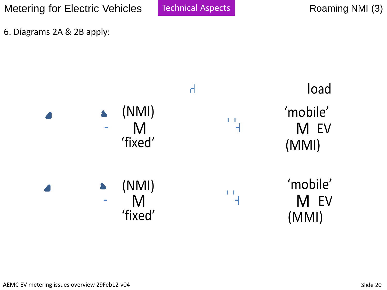Metering for Electric Vehicles | Technical Aspects | Notaming NMI (3)

Technical Aspects

6. Diagrams 2A & 2B apply:

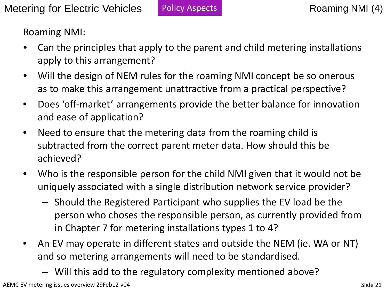Roaming NMI:

- Can the principles that apply to the parent and child metering installations apply to this arrangement?
- Will the design of NEM rules for the roaming NMI concept be so onerous as to make this arrangement unattractive from a practical perspective?
- Does 'off-market' arrangements provide the better balance for innovation and ease of application?
- Need to ensure that the metering data from the roaming child is subtracted from the correct parent meter data. How should this be achieved?
- Who is the responsible person for the child NMI given that it would not be uniquely associated with a single distribution network service provider?
	- Should the Registered Participant who supplies the EV load be the person who choses the responsible person, as currently provided from in Chapter 7 for metering installations types 1 to 4?
- An EV may operate in different states and outside the NEM (ie. WA or NT) and so metering arrangements will need to be standardised.
	- Will this add to the regulatory complexity mentioned above?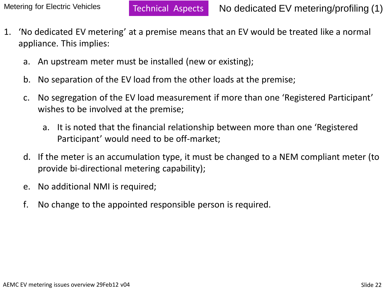- 1. 'No dedicated EV metering' at a premise means that an EV would be treated like a normal appliance. This implies:
	- a. An upstream meter must be installed (new or existing);
	- b. No separation of the EV load from the other loads at the premise;
	- c. No segregation of the EV load measurement if more than one 'Registered Participant' wishes to be involved at the premise;
		- a. It is noted that the financial relationship between more than one 'Registered Participant' would need to be off-market;
	- d. If the meter is an accumulation type, it must be changed to a NEM compliant meter (to provide bi-directional metering capability);
	- e. No additional NMI is required;
	- f. No change to the appointed responsible person is required.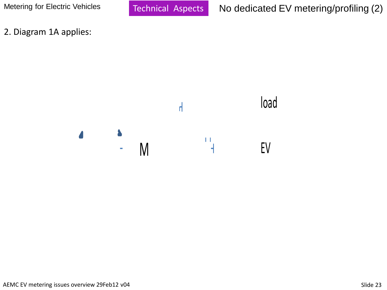2. Diagram 1A applies:

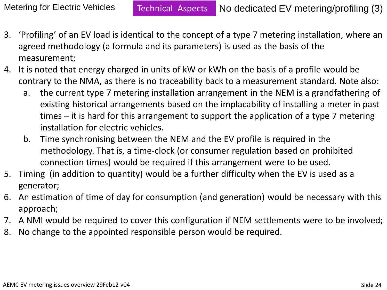- 3. 'Profiling' of an EV load is identical to the concept of a type 7 metering installation, where an agreed methodology (a formula and its parameters) is used as the basis of the measurement;
- 4. It is noted that energy charged in units of kW or kWh on the basis of a profile would be contrary to the NMA, as there is no traceability back to a measurement standard. Note also:
	- a. the current type 7 metering installation arrangement in the NEM is a grandfathering of existing historical arrangements based on the implacability of installing a meter in past times – it is hard for this arrangement to support the application of a type 7 metering installation for electric vehicles.
	- b. Time synchronising between the NEM and the EV profile is required in the methodology. That is, a time-clock (or consumer regulation based on prohibited connection times) would be required if this arrangement were to be used.
- 5. Timing (in addition to quantity) would be a further difficulty when the EV is used as a generator;
- 6. An estimation of time of day for consumption (and generation) would be necessary with this approach;
- 7. A NMI would be required to cover this configuration if NEM settlements were to be involved;
- 8. No change to the appointed responsible person would be required.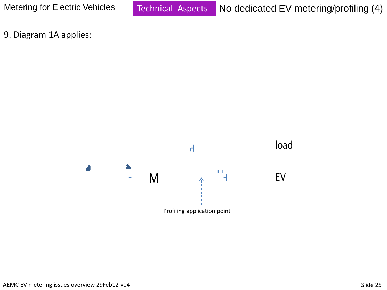9. Diagram 1A applies:

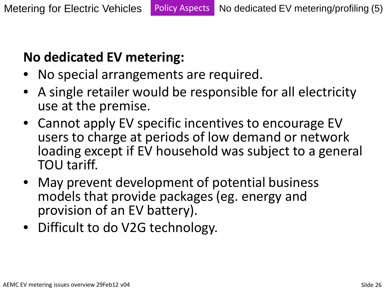## **No dedicated EV metering:**

- No special arrangements are required.
- A single retailer would be responsible for all electricity use at the premise.
- Cannot apply EV specific incentives to encourage EV users to charge at periods of low demand or network loading except if EV household was subject to a general TOU tariff.
- May prevent development of potential business models that provide packages (eg. energy and provision of an EV battery).
- Difficult to do V2G technology.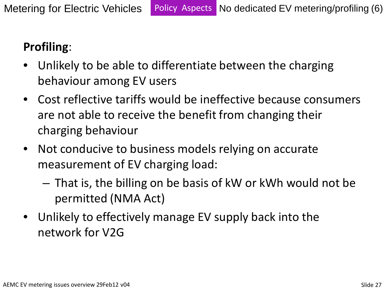## **Profiling**:

- Unlikely to be able to differentiate between the charging behaviour among EV users
- Cost reflective tariffs would be ineffective because consumers are not able to receive the benefit from changing their charging behaviour
- Not conducive to business models relying on accurate measurement of EV charging load:
	- That is, the billing on be basis of kW or kWh would not be permitted (NMA Act)
- Unlikely to effectively manage EV supply back into the network for V2G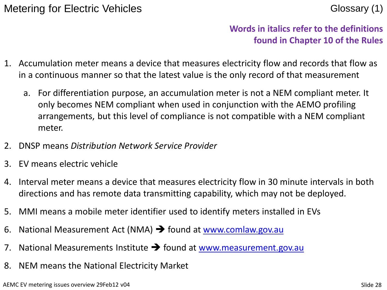#### **Words in italics refer to the definitions found in Chapter 10 of the Rules**

- 1. Accumulation meter means a device that measures electricity flow and records that flow as in a continuous manner so that the latest value is the only record of that measurement
	- a. For differentiation purpose, an accumulation meter is not a NEM compliant meter. It only becomes NEM compliant when used in conjunction with the AEMO profiling arrangements, but this level of compliance is not compatible with a NEM compliant meter.
- 2. DNSP means *Distribution Network Service Provider*
- 3. EV means electric vehicle
- 4. Interval meter means a device that measures electricity flow in 30 minute intervals in both directions and has remote data transmitting capability, which may not be deployed.
- 5. MMI means a mobile meter identifier used to identify meters installed in EVs
- 6. National Measurement Act (NMA)  $\rightarrow$  found at www.comlaw.gov.au
- 7. National Measurements Institute  $\rightarrow$  found at [www.measurement.gov.au](http://www.measurement.gov.au/)
- 8. NEM means the National Electricity Market

AEMC EV metering issues overview 29Feb12 v04 Slide 28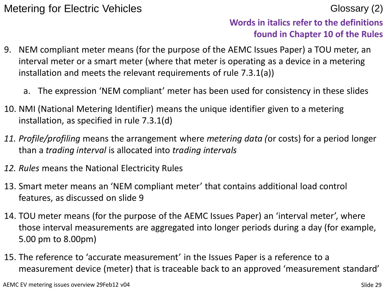#### **Words in italics refer to the definitions found in Chapter 10 of the Rules**

- 9. NEM compliant meter means (for the purpose of the AEMC Issues Paper) a TOU meter, an interval meter or a smart meter (where that meter is operating as a device in a metering installation and meets the relevant requirements of rule 7.3.1(a))
	- a. The expression 'NEM compliant' meter has been used for consistency in these slides
- 10. NMI (National Metering Identifier) means the unique identifier given to a metering installation, as specified in rule 7.3.1(d)
- *11. Profile/profiling* means the arrangement where *metering data (*or costs) for a period longer than a *trading interval* is allocated into *trading intervals*
- *12. Rules* means the National Electricity Rules
- 13. Smart meter means an 'NEM compliant meter' that contains additional load control features, as discussed on slide 9
- 14. TOU meter means (for the purpose of the AEMC Issues Paper) an 'interval meter', where those interval measurements are aggregated into longer periods during a day (for example, 5.00 pm to 8.00pm)
- 15. The reference to 'accurate measurement' in the Issues Paper is a reference to a measurement device (meter) that is traceable back to an approved 'measurement standard'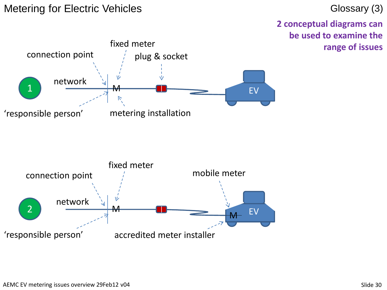#### Metering for Electric Vehicles Glossary (3)

**2 conceptual diagrams can be used to examine the range of issues**



2 M  $M$  EV

M

'responsible person' accredited meter installer